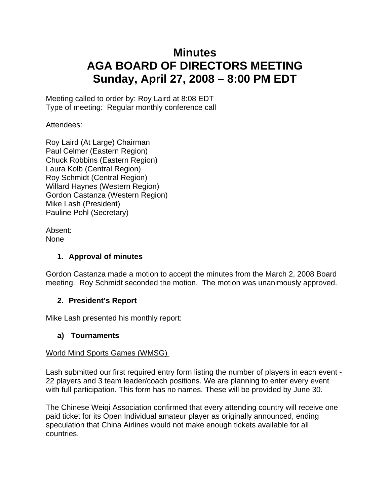# **Minutes AGA BOARD OF DIRECTORS MEETING Sunday, April 27, 2008 – 8:00 PM EDT**

Meeting called to order by: Roy Laird at 8:08 EDT Type of meeting: Regular monthly conference call

Attendees:

Roy Laird (At Large) Chairman Paul Celmer (Eastern Region) Chuck Robbins (Eastern Region) Laura Kolb (Central Region) Roy Schmidt (Central Region) Willard Haynes (Western Region) Gordon Castanza (Western Region) Mike Lash (President) Pauline Pohl (Secretary)

Absent: None

# **1. Approval of minutes**

Gordon Castanza made a motion to accept the minutes from the March 2, 2008 Board meeting. Roy Schmidt seconded the motion. The motion was unanimously approved.

# **2. President's Report**

Mike Lash presented his monthly report:

# **a) Tournaments**

#### World Mind Sports Games (WMSG)

Lash submitted our first required entry form listing the number of players in each event - 22 players and 3 team leader/coach positions. We are planning to enter every event with full participation. This form has no names. These will be provided by June 30.

The Chinese Weiqi Association confirmed that every attending country will receive one paid ticket for its Open Individual amateur player as originally announced, ending speculation that China Airlines would not make enough tickets available for all countries.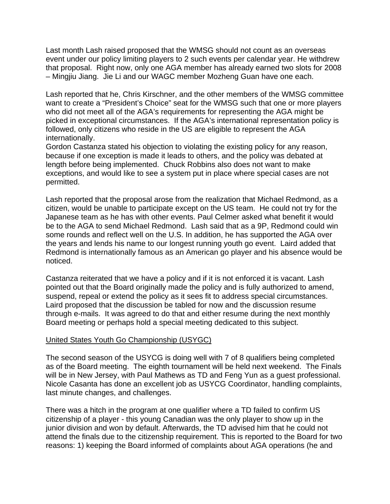Last month Lash raised proposed that the WMSG should not count as an overseas event under our policy limiting players to 2 such events per calendar year. He withdrew that proposal. Right now, only one AGA member has already earned two slots for 2008 – Mingjiu Jiang. Jie Li and our WAGC member Mozheng Guan have one each.

Lash reported that he, Chris Kirschner, and the other members of the WMSG committee want to create a "President's Choice" seat for the WMSG such that one or more players who did not meet all of the AGA's requirements for representing the AGA might be picked in exceptional circumstances. If the AGA's international representation policy is followed, only citizens who reside in the US are eligible to represent the AGA internationally.

Gordon Castanza stated his objection to violating the existing policy for any reason, because if one exception is made it leads to others, and the policy was debated at length before being implemented. Chuck Robbins also does not want to make exceptions, and would like to see a system put in place where special cases are not permitted.

Lash reported that the proposal arose from the realization that Michael Redmond, as a citizen, would be unable to participate except on the US team. He could not try for the Japanese team as he has with other events. Paul Celmer asked what benefit it would be to the AGA to send Michael Redmond. Lash said that as a 9P, Redmond could win some rounds and reflect well on the U.S. In addition, he has supported the AGA over the years and lends his name to our longest running youth go event. Laird added that Redmond is internationally famous as an American go player and his absence would be noticed.

Castanza reiterated that we have a policy and if it is not enforced it is vacant. Lash pointed out that the Board originally made the policy and is fully authorized to amend, suspend, repeal or extend the policy as it sees fit to address special circumstances. Laird proposed that the discussion be tabled for now and the discussion resume through e-mails. It was agreed to do that and either resume during the next monthly Board meeting or perhaps hold a special meeting dedicated to this subject.

#### United States Youth Go Championship (USYGC)

The second season of the USYCG is doing well with 7 of 8 qualifiers being completed as of the Board meeting. The eighth tournament will be held next weekend. The Finals will be in New Jersey, with Paul Mathews as TD and Feng Yun as a guest professional. Nicole Casanta has done an excellent job as USYCG Coordinator, handling complaints, last minute changes, and challenges.

There was a hitch in the program at one qualifier where a TD failed to confirm US citizenship of a player - this young Canadian was the only player to show up in the junior division and won by default. Afterwards, the TD advised him that he could not attend the finals due to the citizenship requirement. This is reported to the Board for two reasons: 1) keeping the Board informed of complaints about AGA operations (he and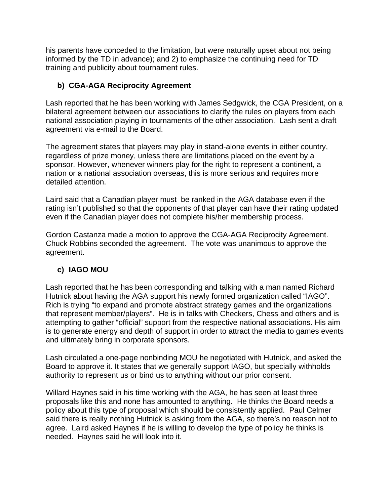his parents have conceded to the limitation, but were naturally upset about not being informed by the TD in advance); and 2) to emphasize the continuing need for TD training and publicity about tournament rules.

# **b) CGA-AGA Reciprocity Agreement**

Lash reported that he has been working with James Sedgwick, the CGA President, on a bilateral agreement between our associations to clarify the rules on players from each national association playing in tournaments of the other association. Lash sent a draft agreement via e-mail to the Board.

The agreement states that players may play in stand-alone events in either country, regardless of prize money, unless there are limitations placed on the event by a sponsor. However, whenever winners play for the right to represent a continent, a nation or a national association overseas, this is more serious and requires more detailed attention.

Laird said that a Canadian player must be ranked in the AGA database even if the rating isn't published so that the opponents of that player can have their rating updated even if the Canadian player does not complete his/her membership process.

Gordon Castanza made a motion to approve the CGA-AGA Reciprocity Agreement. Chuck Robbins seconded the agreement. The vote was unanimous to approve the agreement.

# **c) IAGO MOU**

Lash reported that he has been corresponding and talking with a man named Richard Hutnick about having the AGA support his newly formed organization called "IAGO". Rich is trying "to expand and promote abstract strategy games and the organizations that represent member/players". He is in talks with Checkers, Chess and others and is attempting to gather "official" support from the respective national associations. His aim is to generate energy and depth of support in order to attract the media to games events and ultimately bring in corporate sponsors.

Lash circulated a one-page nonbinding MOU he negotiated with Hutnick, and asked the Board to approve it. It states that we generally support IAGO, but specially withholds authority to represent us or bind us to anything without our prior consent.

Willard Haynes said in his time working with the AGA, he has seen at least three proposals like this and none has amounted to anything. He thinks the Board needs a policy about this type of proposal which should be consistently applied. Paul Celmer said there is really nothing Hutnick is asking from the AGA, so there's no reason not to agree. Laird asked Haynes if he is willing to develop the type of policy he thinks is needed. Haynes said he will look into it.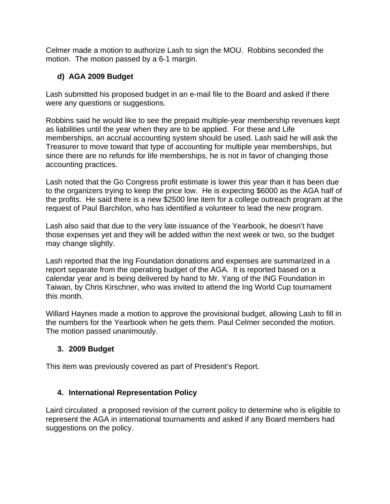Celmer made a motion to authorize Lash to sign the MOU. Robbins seconded the motion. The motion passed by a 6-1 margin.

# **d) AGA 2009 Budget**

Lash submitted his proposed budget in an e-mail file to the Board and asked if there were any questions or suggestions.

Robbins said he would like to see the prepaid multiple-year membership revenues kept as liabilities until the year when they are to be applied. For these and Life memberships, an accrual accounting system should be used. Lash said he will ask the Treasurer to move toward that type of accounting for multiple year memberships, but since there are no refunds for life memberships, he is not in favor of changing those accounting practices.

Lash noted that the Go Congress profit estimate is lower this year than it has been due to the organizers trying to keep the price low. He is expecting \$6000 as the AGA half of the profits. He said there is a new \$2500 line item for a college outreach program at the request of Paul Barchilon, who has identified a volunteer to lead the new program.

Lash also said that due to the very late issuance of the Yearbook, he doesn't have those expenses yet and they will be added within the next week or two, so the budget may change slightly.

Lash reported that the Ing Foundation donations and expenses are summarized in a report separate from the operating budget of the AGA. It is reported based on a calendar year and is being delivered by hand to Mr. Yang of the ING Foundation in Taiwan, by Chris Kirschner, who was invited to attend the Ing World Cup tournament this month.

Willard Haynes made a motion to approve the provisional budget, allowing Lash to fill in the numbers for the Yearbook when he gets them. Paul Celmer seconded the motion. The motion passed unanimously.

# **3. 2009 Budget**

This item was previously covered as part of President's Report.

# **4. International Representation Policy**

Laird circulated a proposed revision of the current policy to determine who is eligible to represent the AGA in international tournaments and asked if any Board members had suggestions on the policy.